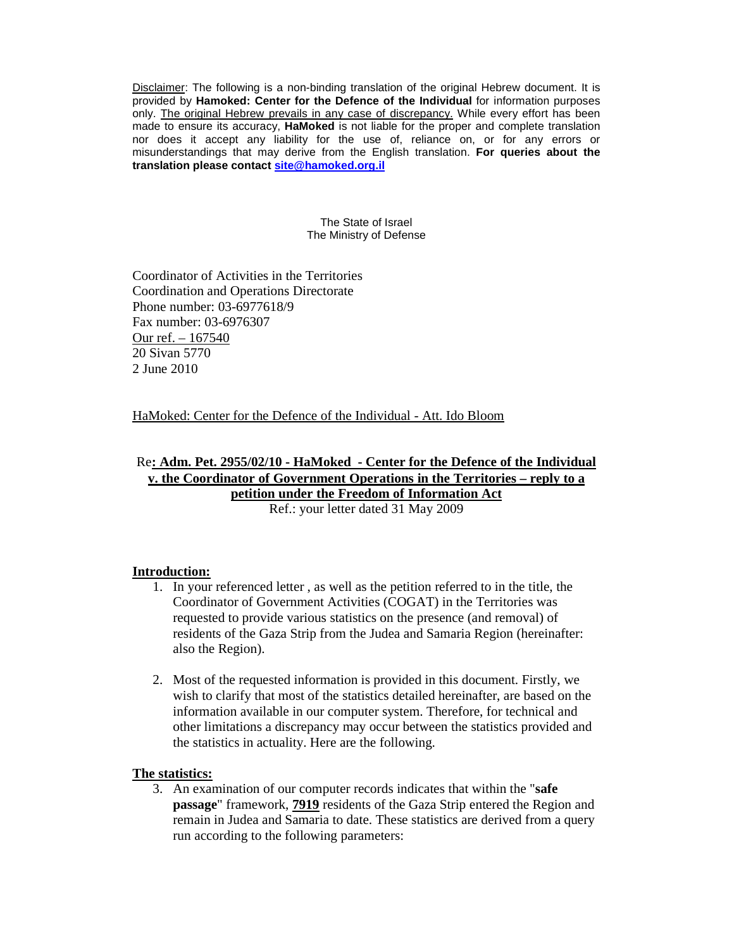Disclaimer: The following is a non-binding translation of the original Hebrew document. It is provided by **Hamoked: Center for the Defence of the Individual** for information purposes only. The original Hebrew prevails in any case of discrepancy. While every effort has been made to ensure its accuracy, **HaMoked** is not liable for the proper and complete translation nor does it accept any liability for the use of, reliance on, or for any errors or misunderstandings that may derive from the English translation. **For queries about the translation please contact site@hamoked.org.il**

> The State of Israel The Ministry of Defense

Coordinator of Activities in the Territories Coordination and Operations Directorate Phone number: 03-6977618/9 Fax number: 03-6976307 Our ref. – 167540 20 Sivan 5770 2 June 2010

HaMoked: Center for the Defence of the Individual - Att. Ido Bloom

## Re**: Adm. Pet. 2955/02/10 - HaMoked - Center for the Defence of the Individual v. the Coordinator of Government Operations in the Territories – reply to a petition under the Freedom of Information Act** Ref.: your letter dated 31 May 2009

## **Introduction:**

- 1. In your referenced letter , as well as the petition referred to in the title, the Coordinator of Government Activities (COGAT) in the Territories was requested to provide various statistics on the presence (and removal) of residents of the Gaza Strip from the Judea and Samaria Region (hereinafter: also the Region).
- 2. Most of the requested information is provided in this document. Firstly, we wish to clarify that most of the statistics detailed hereinafter, are based on the information available in our computer system. Therefore, for technical and other limitations a discrepancy may occur between the statistics provided and the statistics in actuality. Here are the following.

## **The statistics:**

3. An examination of our computer records indicates that within the "**safe passage**" framework, **7919** residents of the Gaza Strip entered the Region and remain in Judea and Samaria to date. These statistics are derived from a query run according to the following parameters: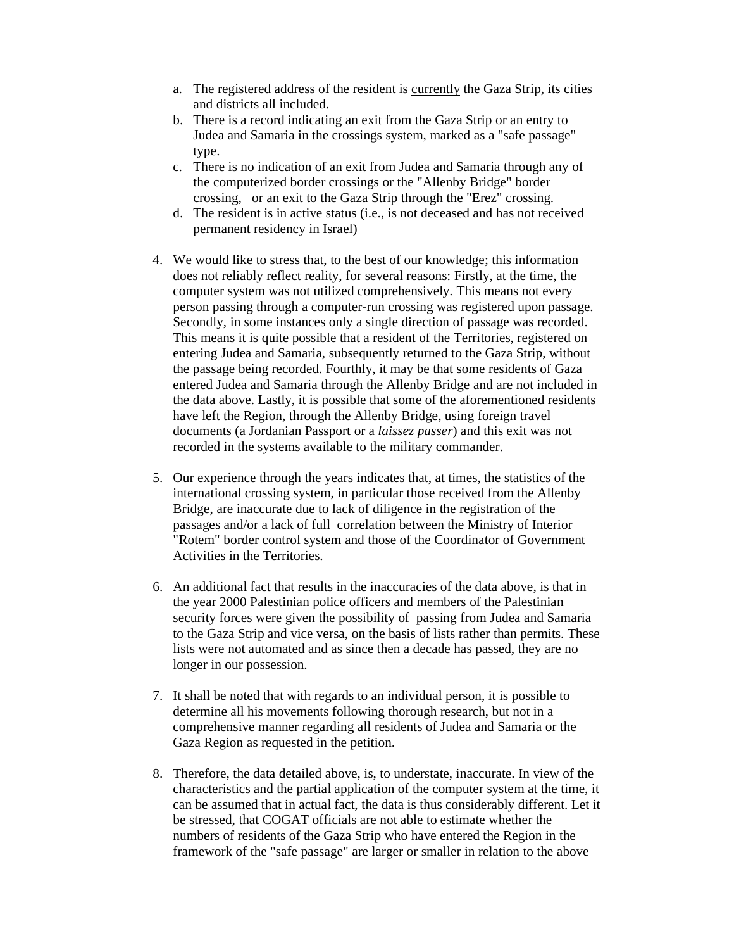- a. The registered address of the resident is currently the Gaza Strip, its cities and districts all included.
- b. There is a record indicating an exit from the Gaza Strip or an entry to Judea and Samaria in the crossings system, marked as a "safe passage" type.
- c. There is no indication of an exit from Judea and Samaria through any of the computerized border crossings or the "Allenby Bridge" border crossing, or an exit to the Gaza Strip through the "Erez" crossing.
- d. The resident is in active status (i.e., is not deceased and has not received permanent residency in Israel)
- 4. We would like to stress that, to the best of our knowledge; this information does not reliably reflect reality, for several reasons: Firstly, at the time, the computer system was not utilized comprehensively. This means not every person passing through a computer-run crossing was registered upon passage. Secondly, in some instances only a single direction of passage was recorded. This means it is quite possible that a resident of the Territories, registered on entering Judea and Samaria, subsequently returned to the Gaza Strip, without the passage being recorded. Fourthly, it may be that some residents of Gaza entered Judea and Samaria through the Allenby Bridge and are not included in the data above. Lastly, it is possible that some of the aforementioned residents have left the Region, through the Allenby Bridge, using foreign travel documents (a Jordanian Passport or a *laissez passer*) and this exit was not recorded in the systems available to the military commander.
- 5. Our experience through the years indicates that, at times, the statistics of the international crossing system, in particular those received from the Allenby Bridge, are inaccurate due to lack of diligence in the registration of the passages and/or a lack of full correlation between the Ministry of Interior "Rotem" border control system and those of the Coordinator of Government Activities in the Territories.
- 6. An additional fact that results in the inaccuracies of the data above, is that in the year 2000 Palestinian police officers and members of the Palestinian security forces were given the possibility of passing from Judea and Samaria to the Gaza Strip and vice versa, on the basis of lists rather than permits. These lists were not automated and as since then a decade has passed, they are no longer in our possession.
- 7. It shall be noted that with regards to an individual person, it is possible to determine all his movements following thorough research, but not in a comprehensive manner regarding all residents of Judea and Samaria or the Gaza Region as requested in the petition.
- 8. Therefore, the data detailed above, is, to understate, inaccurate. In view of the characteristics and the partial application of the computer system at the time, it can be assumed that in actual fact, the data is thus considerably different. Let it be stressed, that COGAT officials are not able to estimate whether the numbers of residents of the Gaza Strip who have entered the Region in the framework of the "safe passage" are larger or smaller in relation to the above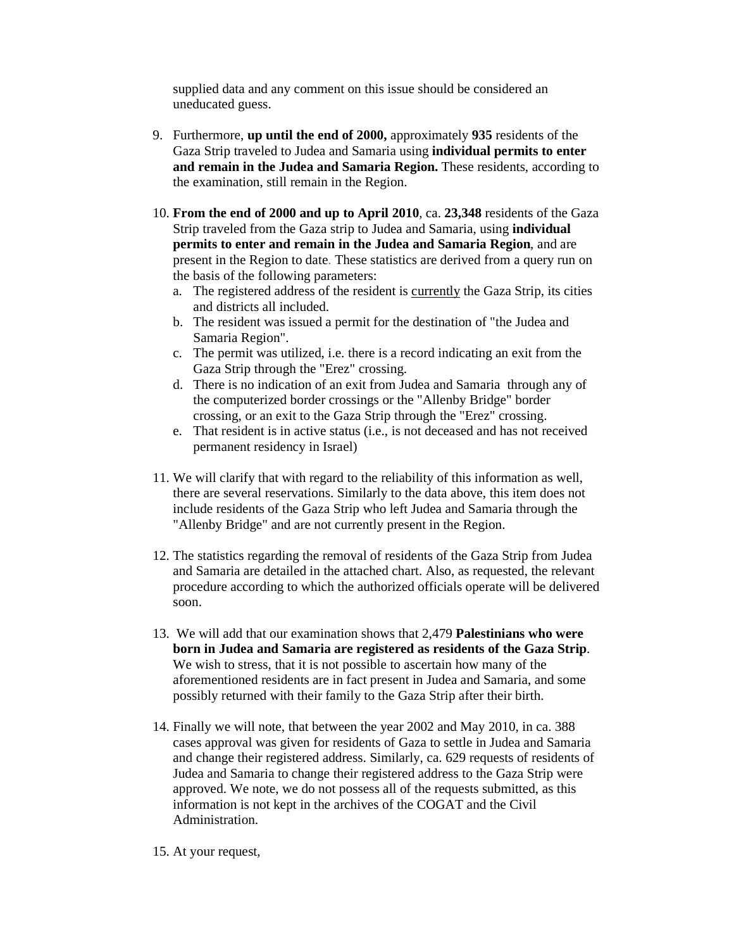supplied data and any comment on this issue should be considered an uneducated guess.

- 9. Furthermore, **up until the end of 2000,** approximately **935** residents of the Gaza Strip traveled to Judea and Samaria using **individual permits to enter and remain in the Judea and Samaria Region.** These residents, according to the examination, still remain in the Region.
- 10. **From the end of 2000 and up to April 2010**, ca. **23,348** residents of the Gaza Strip traveled from the Gaza strip to Judea and Samaria, using **individual permits to enter and remain in the Judea and Samaria Region**, and are present in the Region to date. These statistics are derived from a query run on the basis of the following parameters:
	- a. The registered address of the resident is currently the Gaza Strip, its cities and districts all included.
	- b. The resident was issued a permit for the destination of "the Judea and Samaria Region".
	- c. The permit was utilized, i.e. there is a record indicating an exit from the Gaza Strip through the "Erez" crossing.
	- d. There is no indication of an exit from Judea and Samaria through any of the computerized border crossings or the "Allenby Bridge" border crossing, or an exit to the Gaza Strip through the "Erez" crossing.
	- e. That resident is in active status (i.e., is not deceased and has not received permanent residency in Israel)
- 11. We will clarify that with regard to the reliability of this information as well, there are several reservations. Similarly to the data above, this item does not include residents of the Gaza Strip who left Judea and Samaria through the "Allenby Bridge" and are not currently present in the Region.
- 12. The statistics regarding the removal of residents of the Gaza Strip from Judea and Samaria are detailed in the attached chart. Also, as requested, the relevant procedure according to which the authorized officials operate will be delivered soon.
- 13. We will add that our examination shows that 2,479 **Palestinians who were born in Judea and Samaria are registered as residents of the Gaza Strip**. We wish to stress, that it is not possible to ascertain how many of the aforementioned residents are in fact present in Judea and Samaria, and some possibly returned with their family to the Gaza Strip after their birth.
- 14. Finally we will note, that between the year 2002 and May 2010, in ca. 388 cases approval was given for residents of Gaza to settle in Judea and Samaria and change their registered address. Similarly, ca. 629 requests of residents of Judea and Samaria to change their registered address to the Gaza Strip were approved. We note, we do not possess all of the requests submitted, as this information is not kept in the archives of the COGAT and the Civil Administration.
- 15. At your request,